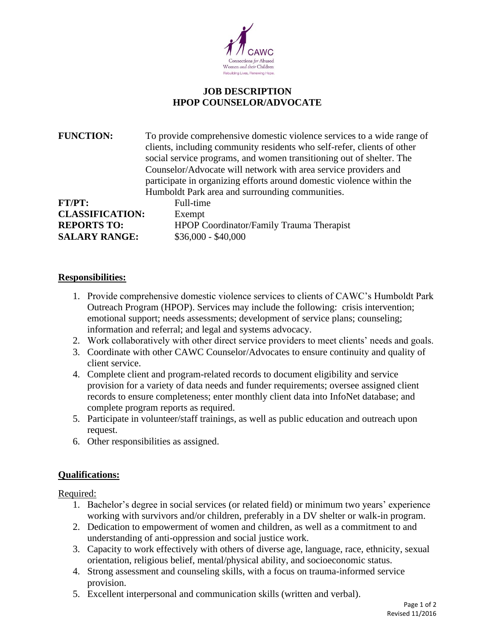

## **JOB DESCRIPTION HPOP COUNSELOR/ADVOCATE**

**FUNCTION:** To provide comprehensive domestic violence services to a wide range of clients, including community residents who self-refer, clients of other social service programs, and women transitioning out of shelter. The Counselor/Advocate will network with area service providers and participate in organizing efforts around domestic violence within the Humboldt Park area and surrounding communities. **FT/PT:** Full-time

**CLASSIFICATION:** Exempt **SALARY RANGE:** \$36,000 - \$40,000

**REPORTS TO:** HPOP Coordinator/Family Trauma Therapist

## **Responsibilities:**

- 1. Provide comprehensive domestic violence services to clients of CAWC's Humboldt Park Outreach Program (HPOP). Services may include the following: crisis intervention; emotional support; needs assessments; development of service plans; counseling; information and referral; and legal and systems advocacy.
- 2. Work collaboratively with other direct service providers to meet clients' needs and goals.
- 3. Coordinate with other CAWC Counselor/Advocates to ensure continuity and quality of client service.
- 4. Complete client and program-related records to document eligibility and service provision for a variety of data needs and funder requirements; oversee assigned client records to ensure completeness; enter monthly client data into InfoNet database; and complete program reports as required.
- 5. Participate in volunteer/staff trainings, as well as public education and outreach upon request.
- 6. Other responsibilities as assigned.

## **Qualifications:**

Required:

- 1. Bachelor's degree in social services (or related field) or minimum two years' experience working with survivors and/or children, preferably in a DV shelter or walk-in program.
- 2. Dedication to empowerment of women and children, as well as a commitment to and understanding of anti-oppression and social justice work.
- 3. Capacity to work effectively with others of diverse age, language, race, ethnicity, sexual orientation, religious belief, mental/physical ability, and socioeconomic status.
- 4. Strong assessment and counseling skills, with a focus on trauma-informed service provision.
- 5. Excellent interpersonal and communication skills (written and verbal).